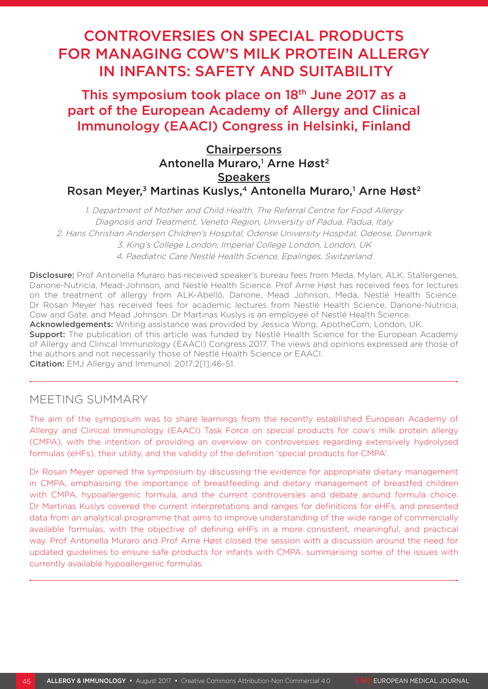# CONTROVERSIES ON SPECIAL PRODUCTS FOR MANAGING COW'S MILK PROTEIN ALLERGY IN INFANTS: SAFETY AND SUITABILITY

This symposium took place on 18<sup>th</sup> June 2017 as a part of the European Academy of Allergy and Clinical Immunology (EAACI) Congress in Helsinki, Finland

# Chairpersons Antonella Muraro,<sup>1</sup> Arne Høst<sup>2</sup> **Speakers** Rosan Meyer,<sup>3</sup> Martinas Kuslys,<sup>4</sup> Antonella Muraro,<sup>1</sup> Arne Høst<sup>2</sup>

1. Department of Mother and Child Health, The Referral Centre for Food Allergy Diagnosis and Treatment, Veneto Region, University of Padua, Padua, Italy 2. Hans Christian Andersen Children's Hospital, Odense University Hospital, Odense, Denmark

3. King's College London; Imperial College London, London, UK

4. Paediatric Care Nestlé Health Science, Epalinges, Switzerland

Disclosure: Prof Antonella Muraro has received speaker's bureau fees from Meda, Mylan, ALK, Stallergenes, Danone-Nutricia, Mead-Johnson, and Nestlè Health Science. Prof Arne Høst has received fees for lectures on the treatment of allergy from ALK-Abelló, Danone, Mead Johnson, Meda, Nestlé Health Science. Dr Rosan Meyer has received fees for academic lectures from Nestlé Health Science, Danone-Nutricia, Cow and Gate, and Mead Johnson. Dr Martinas Kuslys is an employee of Nestlé Health Science.

Acknowledgements: Writing assistance was provided by Jessica Wong, ApotheCom, London, UK.

**Support:** The publication of this article was funded by Nestlé Health Science for the European Academy of Allergy and Clinical Immunology (EAACI) Congress 2017. The views and opinions expressed are those of the authors and not necessarily those of Nestlé Health Science or EAACI.

Citation: EMJ Allergy and Immunol. 2017;2[1]:46-51.

# MEETING SUMMARY

The aim of the symposium was to share learnings from the recently established European Academy of Allergy and Clinical Immunology (EAACI) Task Force on special products for cow's milk protein allergy (CMPA), with the intention of providing an overview on controversies regarding extensively hydrolysed formulas (eHFs), their utility, and the validity of the definition 'special products for CMPA'.

Dr Rosan Meyer opened the symposium by discussing the evidence for appropriate dietary management in CMPA, emphasising the importance of breastfeeding and dietary management of breastfed children with CMPA, hypoallergenic formula, and the current controversies and debate around formula choice. Dr Martinas Kuslys covered the current interpretations and ranges for definitions for eHFs, and presented data from an analytical programme that aims to improve understanding of the wide range of commercially available formulas, with the objective of defining eHFs in a more consistent, meaningful, and practical way. Prof Antonella Muraro and Prof Arne Høst closed the session with a discussion around the need for updated guidelines to ensure safe products for infants with CMPA, summarising some of the issues with currently available hypoallergenic formulas.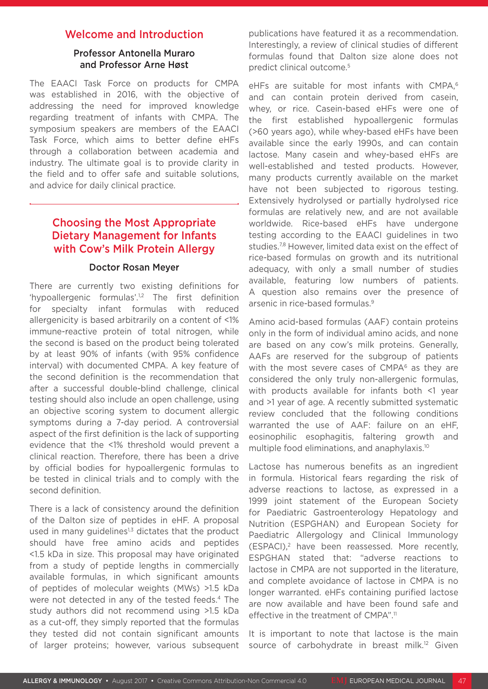### Welcome and Introduction

### Professor Antonella Muraro and Professor Arne Høst

The EAACI Task Force on products for CMPA was established in 2016, with the objective of addressing the need for improved knowledge regarding treatment of infants with CMPA. The symposium speakers are members of the EAACI Task Force, which aims to better define eHFs through a collaboration between academia and industry. The ultimate goal is to provide clarity in the field and to offer safe and suitable solutions, and advice for daily clinical practice.

# Choosing the Most Appropriate Dietary Management for Infants with Cow's Milk Protein Allergy

#### Doctor Rosan Meyer

There are currently two existing definitions for 'hypoallergenic formulas'.<sup>1,2</sup> The first definition for specialty infant formulas with reduced allergenicity is based arbitrarily on a content of <1% immune-reactive protein of total nitrogen, while the second is based on the product being tolerated by at least 90% of infants (with 95% confidence interval) with documented CMPA. A key feature of the second definition is the recommendation that after a successful double-blind challenge, clinical testing should also include an open challenge, using an objective scoring system to document allergic symptoms during a 7-day period. A controversial aspect of the first definition is the lack of supporting evidence that the <1% threshold would prevent a clinical reaction. Therefore, there has been a drive by official bodies for hypoallergenic formulas to be tested in clinical trials and to comply with the second definition.

There is a lack of consistency around the definition of the Dalton size of peptides in eHF. A proposal used in many guidelines $1,3$  dictates that the product should have free amino acids and peptides <1.5 kDa in size. This proposal may have originated from a study of peptide lengths in commercially available formulas, in which significant amounts of peptides of molecular weights (MWs) >1.5 kDa were not detected in any of the tested feeds.<sup>4</sup> The study authors did not recommend using >1.5 kDa as a cut-off, they simply reported that the formulas they tested did not contain significant amounts of larger proteins; however, various subsequent publications have featured it as a recommendation. Interestingly, a review of clinical studies of different formulas found that Dalton size alone does not predict clinical outcome.5

eHFs are suitable for most infants with CMPA.<sup>6</sup> and can contain protein derived from casein, whey, or rice. Casein-based eHFs were one of the first established hypoallergenic formulas (>60 years ago), while whey-based eHFs have been available since the early 1990s, and can contain lactose. Many casein and whey-based eHFs are well-established and tested products. However, many products currently available on the market have not been subjected to rigorous testing. Extensively hydrolysed or partially hydrolysed rice formulas are relatively new, and are not available worldwide. Rice-based eHFs have undergone testing according to the EAACI guidelines in two studies.<sup>7,8</sup> However, limited data exist on the effect of rice-based formulas on growth and its nutritional adequacy, with only a small number of studies available, featuring low numbers of patients. A question also remains over the presence of arsenic in rice-based formulas.9

Amino acid-based formulas (AAF) contain proteins only in the form of individual amino acids, and none are based on any cow's milk proteins. Generally, AAFs are reserved for the subgroup of patients with the most severe cases of  $CMPA<sup>6</sup>$  as they are considered the only truly non-allergenic formulas, with products available for infants both <1 year and >1 year of age. A recently submitted systematic review concluded that the following conditions warranted the use of AAF: failure on an eHF, eosinophilic esophagitis, faltering growth and multiple food eliminations, and anaphylaxis.10

Lactose has numerous benefits as an ingredient in formula. Historical fears regarding the risk of adverse reactions to lactose, as expressed in a 1999 joint statement of the European Society for Paediatric Gastroenterology Hepatology and Nutrition (ESPGHAN) and European Society for Paediatric Allergology and Clinical Immunology (ESPACI),2 have been reassessed. More recently, ESPGHAN stated that: "adverse reactions to lactose in CMPA are not supported in the literature, and complete avoidance of lactose in CMPA is no longer warranted. eHFs containing purified lactose are now available and have been found safe and effective in the treatment of CMPA".<sup>11</sup>

It is important to note that lactose is the main source of carbohydrate in breast milk.<sup>12</sup> Given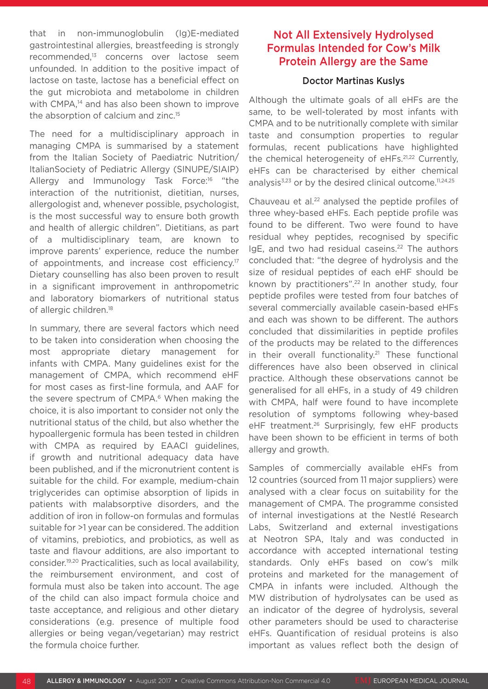that in non-immunoglobulin (Ig)E-mediated gastrointestinal allergies, breastfeeding is strongly recommended,13 concerns over lactose seem unfounded. In addition to the positive impact of lactose on taste, lactose has a beneficial effect on the gut microbiota and metabolome in children with CMPA.<sup>14</sup> and has also been shown to improve the absorption of calcium and zinc.<sup>15</sup>

The need for a multidisciplinary approach in managing CMPA is summarised by a statement from the Italian Society of Paediatric Nutrition/ ItalianSociety of Pediatric Allergy (SINUPE/SIAIP) Allergy and Immunology Task Force:16 "the interaction of the nutritionist, dietitian, nurses, allergologist and, whenever possible, psychologist, is the most successful way to ensure both growth and health of allergic children". Dietitians, as part of a multidisciplinary team, are known to improve parents' experience, reduce the number of appointments, and increase cost efficiency.<sup>17</sup> Dietary counselling has also been proven to result in a significant improvement in anthropometric and laboratory biomarkers of nutritional status of allergic children.<sup>18</sup>

In summary, there are several factors which need to be taken into consideration when choosing the most appropriate dietary management for infants with CMPA. Many guidelines exist for the management of CMPA, which recommend eHF for most cases as first-line formula, and AAF for the severe spectrum of CMPA.<sup>6</sup> When making the choice, it is also important to consider not only the nutritional status of the child, but also whether the hypoallergenic formula has been tested in children with CMPA as required by EAACI guidelines, if growth and nutritional adequacy data have been published, and if the micronutrient content is suitable for the child. For example, medium-chain triglycerides can optimise absorption of lipids in patients with malabsorptive disorders, and the addition of iron in follow-on formulas and formulas suitable for >1 year can be considered. The addition of vitamins, prebiotics, and probiotics, as well as taste and flavour additions, are also important to consider.19,20 Practicalities, such as local availability, the reimbursement environment, and cost of formula must also be taken into account. The age of the child can also impact formula choice and taste acceptance, and religious and other dietary considerations (e.g. presence of multiple food allergies or being vegan/vegetarian) may restrict the formula choice further.

### Not All Extensively Hydrolysed Formulas Intended for Cow's Milk Protein Allergy are the Same

#### Doctor Martinas Kuslys

Although the ultimate goals of all eHFs are the same, to be well-tolerated by most infants with CMPA and to be nutritionally complete with similar taste and consumption properties to regular formulas, recent publications have highlighted the chemical heterogeneity of eHFs.21,22 Currently, eHFs can be characterised by either chemical analysis $3,23$  or by the desired clinical outcome.<sup>11,24,25</sup>

Chauveau et al.22 analysed the peptide profiles of three whey-based eHFs. Each peptide profile was found to be different. Two were found to have residual whey peptides, recognised by specific IgE, and two had residual caseins.<sup>22</sup> The authors concluded that: "the degree of hydrolysis and the size of residual peptides of each eHF should be known by practitioners".<sup>22</sup> In another study, four peptide profiles were tested from four batches of several commercially available casein-based eHFs and each was shown to be different. The authors concluded that dissimilarities in peptide profiles of the products may be related to the differences in their overall functionality.<sup>21</sup> These functional differences have also been observed in clinical practice. Although these observations cannot be generalised for all eHFs, in a study of 49 children with CMPA, half were found to have incomplete resolution of symptoms following whey-based eHF treatment.<sup>26</sup> Surprisingly, few eHF products have been shown to be efficient in terms of both allergy and growth.

Samples of commercially available eHFs from 12 countries (sourced from 11 major suppliers) were analysed with a clear focus on suitability for the management of CMPA. The programme consisted of internal investigations at the Nestlé Research Labs, Switzerland and external investigations at Neotron SPA, Italy and was conducted in accordance with accepted international testing standards. Only eHFs based on cow's milk proteins and marketed for the management of CMPA in infants were included. Although the MW distribution of hydrolysates can be used as an indicator of the degree of hydrolysis, several other parameters should be used to characterise eHFs. Quantification of residual proteins is also important as values reflect both the design of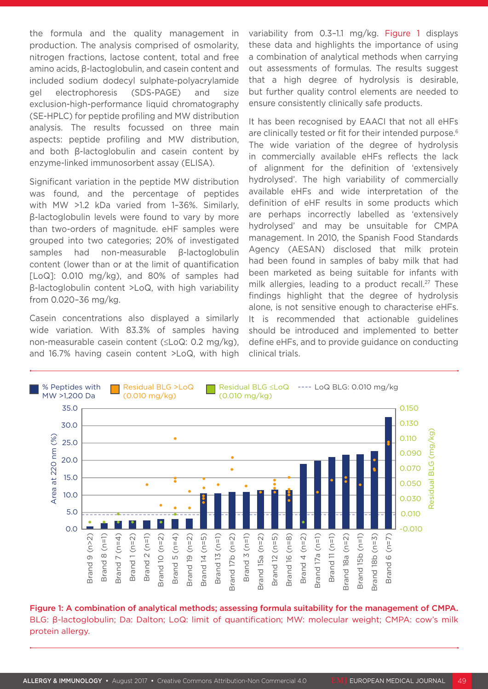the formula and the quality management in production. The analysis comprised of osmolarity, nitrogen fractions, lactose content, total and free amino acids, β-lactoglobulin, and casein content and included sodium dodecyl sulphate-polyacrylamide gel electrophoresis (SDS-PAGE) and size exclusion-high-performance liquid chromatography (SE-HPLC) for peptide profiling and MW distribution analysis. The results focussed on three main aspects: peptide profiling and MW distribution, and both β-lactoglobulin and casein content by enzyme-linked immunosorbent assay (ELISA).

Significant variation in the peptide MW distribution was found, and the percentage of peptides with MW >1.2 kDa varied from 1–36%. Similarly, β-lactoglobulin levels were found to vary by more than two-orders of magnitude. eHF samples were grouped into two categories; 20% of investigated samples had non-measurable β-lactoglobulin content (lower than or at the limit of quantification [LoQ]: 0.010 mg/kg), and 80% of samples had β-lactoglobulin content >LoQ, with high variability from 0.020–36 mg/kg.

Casein concentrations also displayed a similarly wide variation. With 83.3% of samples having non-measurable casein content (≤LoQ: 0.2 mg/kg), and 16.7% having casein content >LoQ, with high variability from 0.3–1.1 mg/kg. Figure 1 displays these data and highlights the importance of using a combination of analytical methods when carrying out assessments of formulas. The results suggest that a high degree of hydrolysis is desirable, but further quality control elements are needed to ensure consistently clinically safe products.

It has been recognised by EAACI that not all eHFs are clinically tested or fit for their intended purpose.<sup>6</sup> The wide variation of the degree of hydrolysis in commercially available eHFs reflects the lack of alignment for the definition of 'extensively hydrolysed'. The high variability of commercially available eHFs and wide interpretation of the definition of eHF results in some products which are perhaps incorrectly labelled as 'extensively hydrolysed' and may be unsuitable for CMPA management. In 2010, the Spanish Food Standards Agency (AESAN) disclosed that milk protein had been found in samples of baby milk that had been marketed as being suitable for infants with milk allergies, leading to a product recall.<sup>27</sup> These findings highlight that the degree of hydrolysis alone, is not sensitive enough to characterise eHFs. It is recommended that actionable guidelines should be introduced and implemented to better define eHFs, and to provide guidance on conducting clinical trials.



Figure 1: A combination of analytical methods; assessing formula suitability for the management of CMPA. BLG: β-lactoglobulin; Da: Dalton; LoQ: limit of quantification; MW: molecular weight; CMPA: cow's milk protein allergy.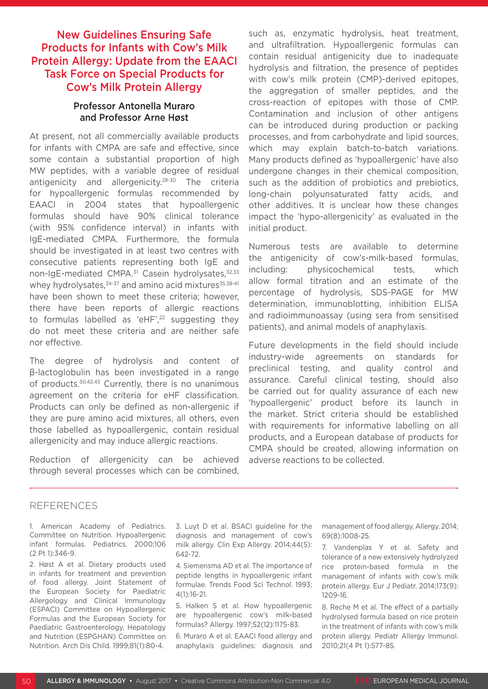# New Guidelines Ensuring Safe Products for Infants with Cow's Milk Protein Allergy: Update from the EAACI Task Force on Special Products for Cow's Milk Protein Allergy

### Professor Antonella Muraro and Professor Arne Høst

At present, not all commercially available products for infants with CMPA are safe and effective, since some contain a substantial proportion of high MW peptides, with a variable degree of residual antigenicity and allergenicity.28-30 The criteria for hypoallergenic formulas recommended by EAACI in 2004 states that hypoallergenic formulas should have 90% clinical tolerance (with 95% confidence interval) in infants with IgE-mediated CMPA. Furthermore, the formula should be investigated in at least two centres with consecutive patients representing both IgE and non-IgE-mediated CMPA.<sup>31</sup> Casein hydrolysates, 32,33 whey hydrolysates,<sup>34-37</sup> and amino acid mixtures<sup>35,38-41</sup> have been shown to meet these criteria; however, there have been reports of allergic reactions to formulas labelled as 'eHF',<sup>22</sup> suggesting they do not meet these criteria and are neither safe nor effective.

The degree of hydrolysis and content of β-lactoglobulin has been investigated in a range of products.30,42,43 Currently, there is no unanimous agreement on the criteria for eHF classification. Products can only be defined as non-allergenic if they are pure amino acid mixtures, all others, even those labelled as hypoallergenic, contain residual allergenicity and may induce allergic reactions.

Reduction of allergenicity can be achieved through several processes which can be combined, such as, enzymatic hydrolysis, heat treatment, and ultrafiltration. Hypoallergenic formulas can contain residual antigenicity due to inadequate hydrolysis and filtration, the presence of peptides with cow's milk protein (CMP)-derived epitopes, the aggregation of smaller peptides, and the cross-reaction of epitopes with those of CMP. Contamination and inclusion of other antigens can be introduced during production or packing processes, and from carbohydrate and lipid sources, which may explain batch-to-batch variations. Many products defined as 'hypoallergenic' have also undergone changes in their chemical composition, such as the addition of probiotics and prebiotics, long-chain polyunsaturated fatty acids, and other additives. It is unclear how these changes impact the 'hypo-allergenicity' as evaluated in the initial product.

Numerous tests are available to determine the antigenicity of cow's-milk-based formulas, including: physicochemical tests, which allow formal titration and an estimate of the percentage of hydrolysis, SDS-PAGE for MW determination, immunoblotting, inhibition ELISA and radioimmunoassay (using sera from sensitised patients), and animal models of anaphylaxis.

Future developments in the field should include industry-wide agreements on standards for preclinical testing, and quality control and assurance. Careful clinical testing, should also be carried out for quality assurance of each new 'hypoallergenic' product before its launch in the market. Strict criteria should be established with requirements for informative labelling on all products, and a European database of products for CMPA should be created, allowing information on adverse reactions to be collected.

#### REFERENCES

1. American Academy of Pediatrics. Committee on Nutrition. Hypoallergenic infant formulas. Pediatrics. 2000;106 (2 Pt 1):346-9.

2. Høst A et al. Dietary products used in infants for treatment and prevention of food allergy. Joint Statement of the European Society for Paediatric Allergology and Clinical Immunology (ESPACI) Committee on Hypoallergenic Formulas and the European Society for Paediatric Gastroenterology, Hepatology and Nutrition (ESPGHAN) Committee on Nutrition. Arch Dis Child. 1999;81(1):80-4.

3. Luyt D et al. BSACI guideline for the diagnosis and management of cow's milk allergy. Clin Exp Allergy. 2014;44(5): 642-72.

4. Siemensma AD et al. The importance of peptide lengths in hypoallergenic infant formulae. Trends Food Sci Technol. 1993; 4(1):16-21.

5. Halken S et al. How hypoallergenic are hypoallergenic cow's milk-based formulas? Allergy. 1997;52(12):1175-83.

6. Muraro A et al. EAACI food allergy and anaphylaxis guidelines: diagnosis and management of food allergy. Allergy. 2014; 69(8):1008-25.

7. Vandenplas Y et al. Safety and tolerance of a new extensively hydrolyzed rice protein-based formula in the management of infants with cow's milk protein allergy. Eur J Pediatr. 2014;173(9): 1209-16.

8. Reche M et al. The effect of a partially hydrolysed formula based on rice protein in the treatment of infants with cow's milk protein allergy. Pediatr Allergy Immunol. 2010;21(4 Pt 1):577-85.